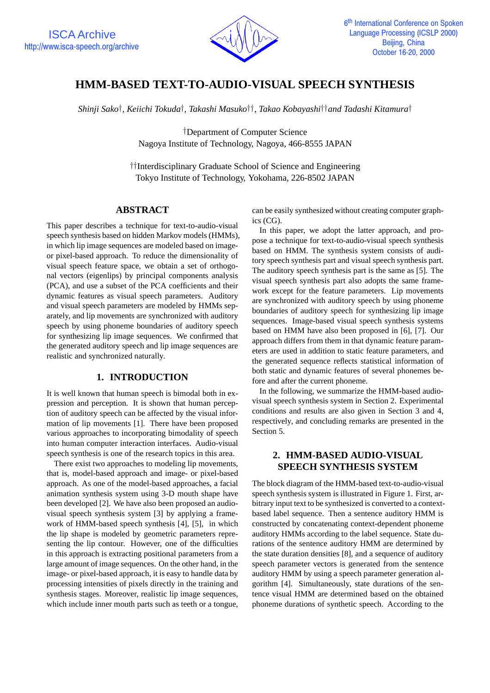

# **HMM-BASED TEXT-TO-AUDIO-VISUAL SPEECH SYNTHESIS**

*Shinji Sako†, Keiichi Tokuda†, Takashi Masuko††, Takao Kobayashi††and Tadashi Kitamura†*

*†*Department of Computer Science Nagoya Institute of Technology, Nagoya, 466-8555 JAPAN

*††*Interdisciplinary Graduate School of Science and Engineering Tokyo Institute of Technology, Yokohama, 226-8502 JAPAN

### **ABSTRACT**

This paper describes a technique for text-to-audio-visual speech synthesis based on hidden Markov models (HMMs), in which lip image sequences are modeled based on imageor pixel-based approach. To reduce the dimensionality of visual speech feature space, we obtain a set of orthogonal vectors (eigenlips) by principal components analysis (PCA), and use a subset of the PCA coefficients and their dynamic features as visual speech parameters. Auditory and visual speech parameters are modeled by HMMs separately, and lip movements are synchronized with auditory speech by using phoneme boundaries of auditory speech for synthesizing lip image sequences. We confirmed that the generated auditory speech and lip image sequences are realistic and synchronized naturally.

## **1. INTRODUCTION**

It is well known that human speech is bimodal both in expression and perception. It is shown that human perception of auditory speech can be affected by the visual information of lip movements [1]. There have been proposed various approaches to incorporating bimodality of speech into human computer interaction interfaces. Audio-visual speech synthesis is one of the research topics in this area.

There exist two approaches to modeling lip movements, that is, model-based approach and image- or pixel-based approach. As one of the model-based approaches, a facial animation synthesis system using 3-D mouth shape have been developed [2]. We have also been proposed an audiovisual speech synthesis system [3] by applying a framework of HMM-based speech synthesis [4], [5], in which the lip shape is modeled by geometric parameters representing the lip contour. However, one of the difficulties in this approach is extracting positional parameters from a large amount of image sequences. On the other hand, in the image- or pixel-based approach, it is easy to handle data by processing intensities of pixels directly in the training and synthesis stages. Moreover, realistic lip image sequences, which include inner mouth parts such as teeth or a tongue, can be easily synthesized without creating computer graphics (CG).

In this paper, we adopt the latter approach, and propose a technique for text-to-audio-visual speech synthesis based on HMM. The synthesis system consists of auditory speech synthesis part and visual speech synthesis part. The auditory speech synthesis part is the same as [5]. The visual speech synthesis part also adopts the same framework except for the feature parameters. Lip movements are synchronized with auditory speech by using phoneme boundaries of auditory speech for synthesizing lip image sequences. Image-based visual speech synthesis systems based on HMM have also been proposed in [6], [7]. Our approach differs from them in that dynamic feature parameters are used in addition to static feature parameters, and the generated sequence reflects statistical information of both static and dynamic features of several phonemes before and after the current phoneme.

In the following, we summarize the HMM-based audiovisual speech synthesis system in Section 2. Experimental conditions and results are also given in Section 3 and 4, respectively, and concluding remarks are presented in the Section 5.

## **2. HMM-BASED AUDIO-VISUAL SPEECH SYNTHESIS SYSTEM**

The block diagram of the HMM-based text-to-audio-visual speech synthesis system is illustrated in Figure 1. First, arbitrary input text to be synthesized is converted to a contextbased label sequence. Then a sentence auditory HMM is constructed by concatenating context-dependent phoneme auditory HMMs according to the label sequence. State durations of the sentence auditory HMM are determined by the state duration densities [8], and a sequence of auditory speech parameter vectors is generated from the sentence auditory HMM by using a speech parameter generation algorithm [4]. Simultaneously, state durations of the sentence visual HMM are determined based on the obtained phoneme durations of synthetic speech. According to the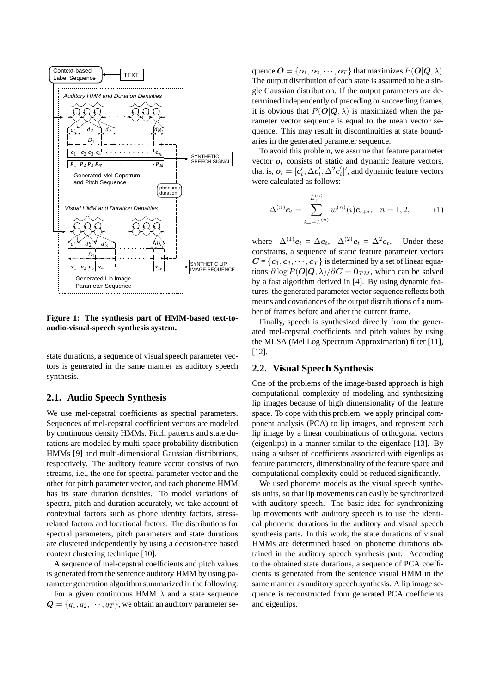

**Figure 1: The synthesis part of HMM-based text-toaudio-visual-speech synthesis system.**

state durations, a sequence of visual speech parameter vectors is generated in the same manner as auditory speech synthesis.

#### **2.1. Audio Speech Synthesis**

We use mel-cepstral coefficients as spectral parameters. Sequences of mel-cepstral coefficient vectors are modeled by continuous density HMMs. Pitch patterns and state durations are modeled by multi-space probability distribution HMMs [9] and multi-dimensional Gaussian distributions, respectively. The auditory feature vector consists of two streams, i.e., the one for spectral parameter vector and the other for pitch parameter vector, and each phoneme HMM has its state duration densities. To model variations of spectra, pitch and duration accurately, we take account of contextual factors such as phone identity factors, stressrelated factors and locational factors. The distributions for spectral parameters, pitch parameters and state durations are clustered independently by using a decision-tree based context clustering technique [10].

A sequence of mel-cepstral coefficients and pitch values is generated from the sentence auditory HMM by using parameter generation algorithm summarized in the following.

For a given continuous HMM  $\lambda$  and a state sequence  $Q = \{q_1, q_2, \dots, q_T\}$ , we obtain an auditory parameter sequence  $\mathbf{O} = \{o_1, o_2, \cdots, o_T\}$  that maximizes  $P(\mathbf{O}|\mathbf{Q}, \lambda)$ . The output distribution of each state is assumed to be a single Gaussian distribution. If the output parameters are determined independently of preceding or succeeding frames, it is obvious that  $P(O|Q, \lambda)$  is maximized when the parameter vector sequence is equal to the mean vector sequence. This may result in discontinuities at state boundaries in the generated parameter sequence.

To avoid this problem, we assume that feature parameter vector  $o_t$  consists of static and dynamic feature vectors, that is,  $o_t = [c'_t, \Delta c'_t, \Delta^2 c'_t]'$ , and dynamic feature vectors<br>were calculated as follows: were calculated as follows:

$$
\Delta^{(n)}\mathbf{c}_t = \sum_{i=-L_{-}^{(n)}}^{L_{+}^{(n)}} w^{(n)}(i)\mathbf{c}_{t+i}, \quad n = 1, 2,
$$
 (1)

where  $\Delta^{(1)}c_t = \Delta c_t$ ,  $\Delta^{(2)}c_t = \Delta^2 c_t$ . Under these constrains, a sequence of static feature parameter vectors  $C = \{c_1, c_2, \dots, c_T\}$  is determined by a set of linear equations  $\partial \log P(O|Q, \lambda)/\partial C = \mathbf{0}_{TM}$ , which can be solved by a fast algorithm derived in [4]. By using dynamic features, the generated parameter vector sequence reflects both means and covariances of the output distributions of a number of frames before and after the current frame.

Finally, speech is synthesized directly from the generated mel-cepstral coefficients and pitch values by using the MLSA (Mel Log Spectrum Approximation) filter [11], [12].

#### **2.2. Visual Speech Synthesis**

One of the problems of the image-based approach is high computational complexity of modeling and synthesizing lip images because of high dimensionality of the feature space. To cope with this problem, we apply principal component analysis (PCA) to lip images, and represent each lip image by a linear combinations of orthogonal vectors (eigenlips) in a manner similar to the eigenface [13]. By using a subset of coefficients associated with eigenlips as feature parameters, dimensionality of the feature space and computational complexity could be reduced significantly.

We used phoneme models as the visual speech synthesis units, so that lip movements can easily be synchronized with auditory speech. The basic idea for synchronizing lip movements with auditory speech is to use the identical phoneme durations in the auditory and visual speech synthesis parts. In this work, the state durations of visual HMMs are determined based on phoneme durations obtained in the auditory speech synthesis part. According to the obtained state durations, a sequence of PCA coefficients is generated from the sentence visual HMM in the same manner as auditory speech synthesis. A lip image sequence is reconstructed from generated PCA coefficients and eigenlips.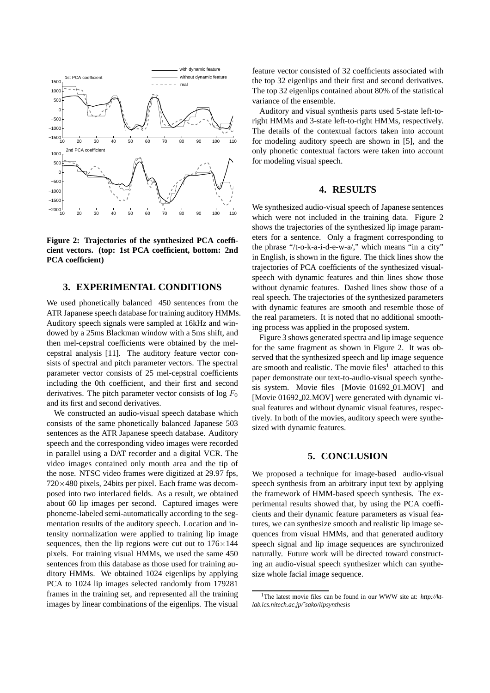

**Figure 2: Trajectories of the synthesized PCA coefficient vectors. (top: 1st PCA coefficient, bottom: 2nd PCA coefficient)**

#### **3. EXPERIMENTAL CONDITIONS**

We used phonetically balanced 450 sentences from the ATR Japanese speech database for training auditory HMMs. Auditory speech signals were sampled at 16kHz and windowed by a 25ms Blackman window with a 5ms shift, and then mel-cepstral coefficients were obtained by the melcepstral analysis [11]. The auditory feature vector consists of spectral and pitch parameter vectors. The spectral parameter vector consists of 25 mel-cepstral coefficients including the 0th coefficient, and their first and second derivatives. The pitch parameter vector consists of log  $F_0$ and its first and second derivatives.

We constructed an audio-visual speech database which consists of the same phonetically balanced Japanese 503 sentences as the ATR Japanese speech database. Auditory speech and the corresponding video images were recorded in parallel using a DAT recorder and a digital VCR. The video images contained only mouth area and the tip of the nose. NTSC video frames were digitized at 29.97 fps, 720*×*480 pixels, 24bits per pixel. Each frame was decomposed into two interlaced fields. As a result, we obtained about 60 lip images per second. Captured images were phoneme-labeled semi-automatically according to the segmentation results of the auditory speech. Location and intensity normalization were applied to training lip image sequences, then the lip regions were cut out to 176*×*144 pixels. For training visual HMMs, we used the same 450 sentences from this database as those used for training auditory HMMs. We obtained 1024 eigenlips by applying PCA to 1024 lip images selected randomly from 179281 frames in the training set, and represented all the training images by linear combinations of the eigenlips. The visual feature vector consisted of 32 coefficients associated with the top 32 eigenlips and their first and second derivatives. The top 32 eigenlips contained about 80% of the statistical variance of the ensemble.

Auditory and visual synthesis parts used 5-state left-toright HMMs and 3-state left-to-right HMMs, respectively. The details of the contextual factors taken into account for modeling auditory speech are shown in [5], and the only phonetic contextual factors were taken into account for modeling visual speech.

#### **4. RESULTS**

We synthesized audio-visual speech of Japanese sentences which were not included in the training data. Figure 2 shows the trajectories of the synthesized lip image parameters for a sentence. Only a fragment corresponding to the phrase "/t-o-k-a-i-d-e-w-a/," which means "in a city" in English, is shown in the figure. The thick lines show the trajectories of PCA coefficients of the synthesized visualspeech with dynamic features and thin lines show those without dynamic features. Dashed lines show those of a real speech. The trajectories of the synthesized parameters with dynamic features are smooth and resemble those of the real parameters. It is noted that no additional smoothing process was applied in the proposed system.

Figure 3 shows generated spectra and lip image sequence for the same fragment as shown in Figure 2. It was observed that the synthesized speech and lip image sequence are smooth and realistic. The movie files<sup>1</sup> attached to this paper demonstrate our text-to-audio-visual speech synthesis system. Movie files [Movie 01692 01.MOV] and [Movie 01692 02.MOV] were generated with dynamic visual features and without dynamic visual features, respectively. In both of the movies, auditory speech were synthesized with dynamic features.

#### **5. CONCLUSION**

We proposed a technique for image-based audio-visual speech synthesis from an arbitrary input text by applying the framework of HMM-based speech synthesis. The experimental results showed that, by using the PCA coefficients and their dynamic feature parameters as visual features, we can synthesize smooth and realistic lip image sequences from visual HMMs, and that generated auditory speech signal and lip image sequences are synchronized naturally. Future work will be directed toward constructing an audio-visual speech synthesizer which can synthesize whole facial image sequence.

<sup>&</sup>lt;sup>1</sup>The latest movie files can be found in our WWW site at: *http://ktlab.ics.nitech.ac.jp/˜sako/lipsynthesis*